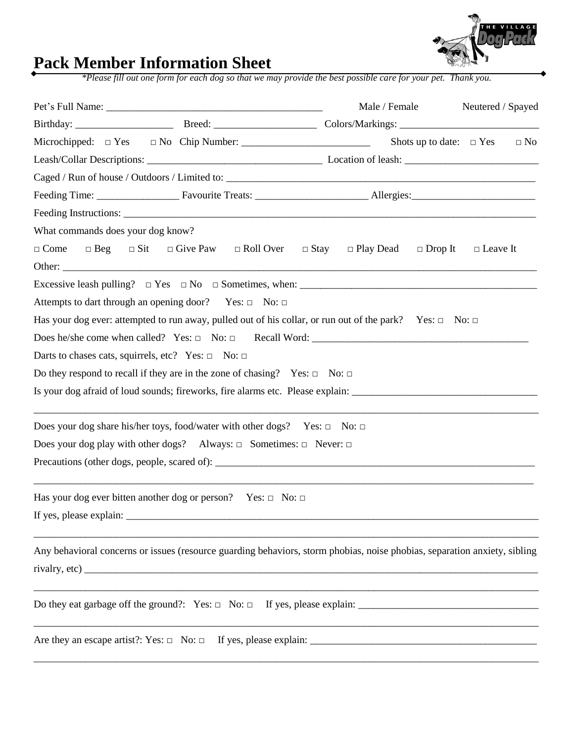

## **Pack Member Information Sheet**

*\*Please fill out one form for each dog so that we may provide the best possible care for your pet. Thank you.*

|                                                                                                                                                                           | Male / Female                                     | Neutered / Spayed |  |  |  |  |
|---------------------------------------------------------------------------------------------------------------------------------------------------------------------------|---------------------------------------------------|-------------------|--|--|--|--|
|                                                                                                                                                                           |                                                   |                   |  |  |  |  |
|                                                                                                                                                                           | Shots up to date: $\square$ Yes                   | $\Box$ No         |  |  |  |  |
|                                                                                                                                                                           |                                                   |                   |  |  |  |  |
|                                                                                                                                                                           |                                                   |                   |  |  |  |  |
|                                                                                                                                                                           |                                                   |                   |  |  |  |  |
|                                                                                                                                                                           |                                                   |                   |  |  |  |  |
| What commands does your dog know?                                                                                                                                         |                                                   |                   |  |  |  |  |
| $\Box$ Beg $\Box$ Sit $\Box$ Give Paw $\Box$ Roll Over<br>$\Box$ Come                                                                                                     | $\Box$ Stay<br>$\Box$ Play Dead<br>$\Box$ Drop It | $\Box$ Leave It   |  |  |  |  |
| Excessive leash pulling? $\Box$ Yes $\Box$ No $\Box$ Sometimes, when:                                                                                                     |                                                   |                   |  |  |  |  |
| Attempts to dart through an opening door? Yes: $\Box$ No: $\Box$                                                                                                          |                                                   |                   |  |  |  |  |
| Has your dog ever: attempted to run away, pulled out of his collar, or run out of the park? Yes: $\Box$ No: $\Box$                                                        |                                                   |                   |  |  |  |  |
|                                                                                                                                                                           |                                                   |                   |  |  |  |  |
| Darts to chases cats, squirrels, etc? Yes: $\Box$ No: $\Box$                                                                                                              |                                                   |                   |  |  |  |  |
| Do they respond to recall if they are in the zone of chasing? Yes: $\Box$ No: $\Box$                                                                                      |                                                   |                   |  |  |  |  |
|                                                                                                                                                                           |                                                   |                   |  |  |  |  |
| ,我们也不能在这里的人,我们也不能在这里的人,我们也不能在这里的人,我们也不能在这里的人,我们也不能在这里的人,我们也不能在这里的人,我们也不能在这里的人,我们也<br>Does your dog share his/her toys, food/water with other dogs? Yes: $\Box$ No: $\Box$ |                                                   |                   |  |  |  |  |
| Does your dog play with other dogs? Always: $\Box$ Sometimes: $\Box$ Never: $\Box$                                                                                        |                                                   |                   |  |  |  |  |
|                                                                                                                                                                           |                                                   |                   |  |  |  |  |
| Has your dog ever bitten another dog or person? Yes: $\Box$ No: $\Box$                                                                                                    |                                                   |                   |  |  |  |  |
|                                                                                                                                                                           |                                                   |                   |  |  |  |  |
| Any behavioral concerns or issues (resource guarding behaviors, storm phobias, noise phobias, separation anxiety, sibling                                                 |                                                   |                   |  |  |  |  |
|                                                                                                                                                                           |                                                   |                   |  |  |  |  |
|                                                                                                                                                                           |                                                   |                   |  |  |  |  |
|                                                                                                                                                                           |                                                   |                   |  |  |  |  |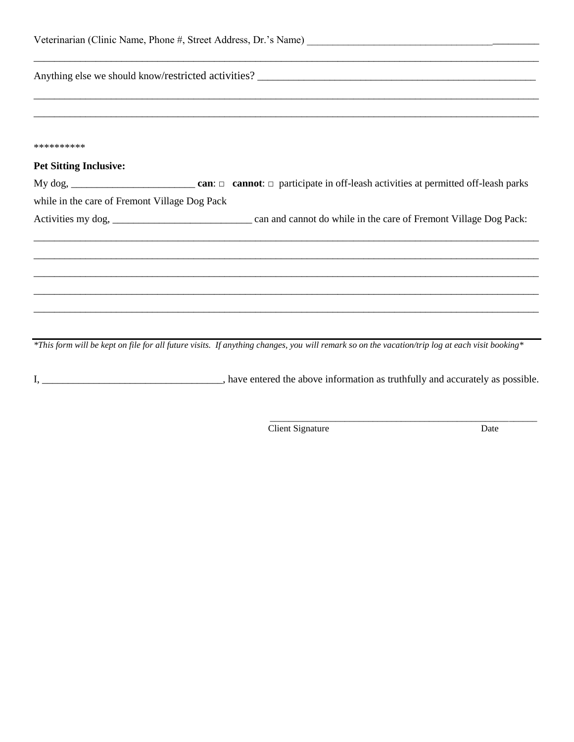| **********                                    |                                                                                                                                                |  |  |  |
|-----------------------------------------------|------------------------------------------------------------------------------------------------------------------------------------------------|--|--|--|
| <b>Pet Sitting Inclusive:</b>                 |                                                                                                                                                |  |  |  |
|                                               |                                                                                                                                                |  |  |  |
| while in the care of Fremont Village Dog Pack |                                                                                                                                                |  |  |  |
|                                               |                                                                                                                                                |  |  |  |
|                                               |                                                                                                                                                |  |  |  |
|                                               |                                                                                                                                                |  |  |  |
|                                               | ,我们也不能在这里的人,我们也不能在这里的人,我们也不能在这里的人,我们也不能在这里的人,我们也不能在这里的人,我们也不能在这里的人,我们也不能在这里的人,我们也                                                              |  |  |  |
|                                               |                                                                                                                                                |  |  |  |
|                                               | *This form will be kept on file for all future visits. If anything changes, you will remark so on the vacation/trip log at each visit booking* |  |  |  |

I, \_\_\_\_\_\_\_\_\_\_\_\_\_\_\_\_\_\_\_\_\_\_\_\_\_\_\_\_\_\_, have entered the above information as truthfully and accurately as possible.

Client Signature Date

\_\_\_\_\_\_\_\_\_\_\_\_\_\_\_\_\_\_\_\_\_\_\_\_\_\_\_\_\_\_\_\_\_\_\_\_\_\_\_\_\_\_\_\_\_\_\_\_\_\_\_\_\_\_\_\_\_